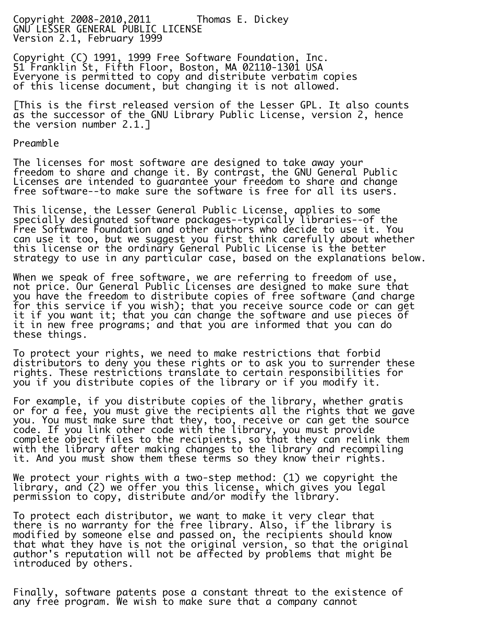Copyright 2008-2010,2011 Thomas E. Dickey GNU LESSER GENERAL PUBLIC LICENSE Version 2.1, February 1999

Copyright (C) 1991, 1999 Free Software Foundation, Inc. 51 Franklin St, Fifth Floor, Boston, MA 02110-1301 USA Everyone is permitted to copy and distribute verbatim copies of this license document, but changing it is not allowed.

[This is the first released version of the Lesser GPL. It also counts as the successor of the GNU Library Public License, version 2, hence the version number 2.1.]

Preamble

The licenses for most software are designed to take away your freedom to share and change it. By contrast, the GNU General Public Licenses are intended to guarantee your freedom to share and change free software--to make sure the software is free for all its users.

This license, the Lesser General Public License, applies to some specially designated software packages--typically libraries--of the Free Software Foundation and other authors who decide to use it. You can use it too, but we suggest you first think carefully about whether this license or the ordinary General Public License is the better strategy to use in any particular case, based on the explanations below.

When we speak of free software, we are referring to freedom of use, not price. Our General Public Licenses are designed to make sure that you have the freedom to distribute copies of free software (and charge for this service if you wish); that you receive source code or can get it if you want it; that you can change the software and use pieces of it in new free programs; and that you are informed that you can do these things.

To protect your rights, we need to make restrictions that forbid distributors to deny you these rights or to ask you to surrender these rights. These restrictions translate to certain responsibilities for you if you distribute copies of the library or if you modify it.

For example, if you distribute copies of the library, whether gratis or for a fee, you must give the recipients all the rights that we gave you. You must make sure that they, too, receive or can get the source code. If you link other code with the library, you must provide complete object files to the recipients, so that they can relink them with the library after making changes to the library and recompiling it. And you must show them these terms so they know their rights.

We protect your rights with a two-step method: (1) we copyright the library, and (2) we offer you this license, which gives you legal permission to copy, distribute and/or modify the library.

To protect each distributor, we want to make it very clear that there is no warranty for the free library. Also, if the library is modified by someone else and passed on, the recipients should know that what they have is not the original version, so that the original author's reputation will not be affected by problems that might be introduced by others.

Finally, software patents pose a constant threat to the existence of any free program. We wish to make sure that a company cannot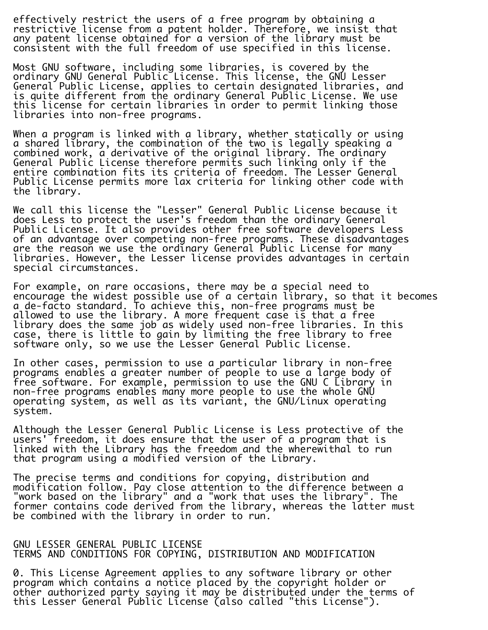effectively restrict the users of a free program by obtaining a restrictive license from a patent holder. Therefore, we insist that any patent license obtained for a version of the library must be consistent with the full freedom of use specified in this license.

Most GNU software, including some libraries, is covered by the ordinary GNU General Public License. This license, the GNU Lesser General Public License, applies to certain designated libraries, and is quite different from the ordinary General Public License. We use this license for certain libraries in order to permit linking those libraries into non-free programs.

When a program is linked with a library, whether statically or using a shared library, the combination of the two is legally speaking a combined work, a derivative of the original library. The ordinary General Public License therefore permits such linking only if the entire combination fits its criteria of freedom. The Lesser General Public License permits more lax criteria for linking other code with the library.

We call this license the "Lesser" General Public License because it does Less to protect the user's freedom than the ordinary General Public License. It also provides other free software developers Less of an advantage over competing non-free programs. These disadvantages are the reason we use the ordinary General Public License for many libraries. However, the Lesser license provides advantages in certain special circumstances.

For example, on rare occasions, there may be a special need to encourage the widest possible use of a certain library, so that it becomes a de-facto standard. To achieve this, non-free programs must be allowed to use the library. A more frequent case is that a free library does the same job as widely used non-free libraries. In this case, there is little to gain by limiting the free library to free software only, so we use the Lesser General Public License.

In other cases, permission to use a particular library in non-free programs enables a greater number of people to use a large body of free software. For example, permission to use the GNU C Library in non-free programs enables many more people to use the whole GNU operating system, as well as its variant, the GNU/Linux operating system.

Although the Lesser General Public License is Less protective of the users' freedom, it does ensure that the user of a program that is linked with the Library has the freedom and the wherewithal to run that program using a modified version of the Library.

The precise terms and conditions for copying, distribution and modification follow. Pay close attention to the difference between a "work based on the library" and a "work that uses the library". The former contains code derived from the library, whereas the latter must be combined with the library in order to run.

## GNU LESSER GENERAL PUBLIC LICENSE TERMS AND CONDITIONS FOR COPYING, DISTRIBUTION AND MODIFICATION

0. This License Agreement applies to any software library or other program which contains a notice placed by the copyright holder or other authorized party saying it may be distributed under the terms of this Lesser General Public License (also called "this License").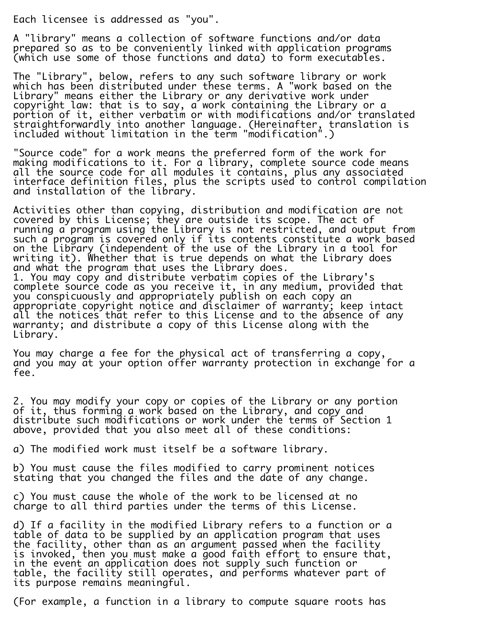Each licensee is addressed as "you".

A "library" means a collection of software functions and/or data prepared so as to be conveniently linked with application programs (which use some of those functions and data) to form executables.

The "Library", below, refers to any such software library or work which has been distributed under these terms. A "work based on the Library" means either the Library or any derivative work under copyright law: that is to say, a work containing the Library or a portion of it, either verbatim or with modifications and/or translated straightforwardly into another language. (Hereinafter, translation is included without limitation in the term "modification".)

"Source code" for a work means the preferred form of the work for making modifications to it. For a library, complete source code means all the source code for all modules it contains, plus any associated interface definition files, plus the scripts used to control compilation and installation of the library.

Activities other than copying, distribution and modification are not covered by this License; they are outside its scope. The act of running a program using the Library is not restricted, and output from such a program is covered only if its contents constitute a work based on the Library (independent of the use of the Library in a tool for writing it). Whether that is true depends on what the Library does and what the program that uses the Library does. 1. You may copy and distribute verbatim copies of the Library's complete source code as you receive it, in any medium, provided that you conspicuously and appropriately publish on each copy an appropriate copyright notice and disclaimer of warranty; keep intact all the notices that refer to this License and to the absence of any warranty; and distribute a copy of this License along with the Library.

You may charge a fee for the physical act of transferring a copy, and you may at your option offer warranty protection in exchange for a fee.

2. You may modify your copy or copies of the Library or any portion of it, thus forming a work based on the Library, and copy and distribute such modifications or work under the terms of Section 1 above, provided that you also meet all of these conditions:

a) The modified work must itself be a software library.

b) You must cause the files modified to carry prominent notices stating that you changed the files and the date of any change.

c) You must cause the whole of the work to be licensed at no charge to all third parties under the terms of this License.

d) If a facility in the modified Library refers to a function or a table of data to be supplied by an application program that uses the facility, other than as an argument passed when the facility is invoked, then you must make a good faith effort to ensure that, in the event an application does not supply such function or table, the facility still operates, and performs whatever part of its purpose remains meaningful.

(For example, a function in a library to compute square roots has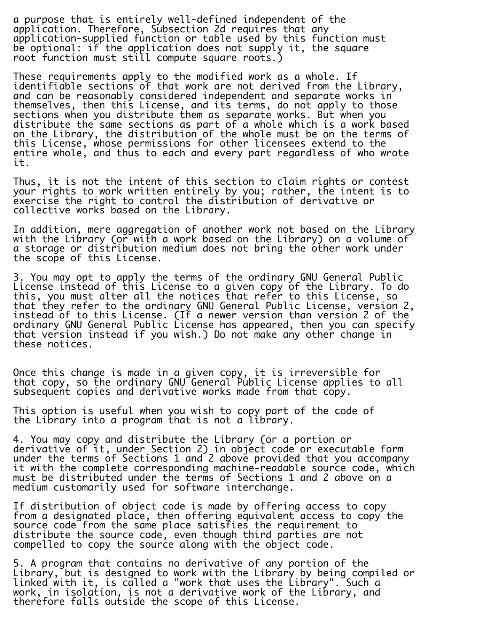a purpose that is entirely well-defined independent of the application. Therefore, Subsection 2d requires that any application-supplied function or table used by this function must be optional: if the application does not supply it, the square root function must still compute square roots.)

These requirements apply to the modified work as a whole. If identifiable sections of that work are not derived from the Library, and can be reasonably considered independent and separate works in themselves, then this License, and its terms, do not apply to those sections when you distribute them as separate works. But when you distribute the same sections as part of a whole which is a work based on the Library, the distribution of the whole must be on the terms of this License, whose permissions for other licensees extend to the entire whole, and thus to each and every part regardless of who wrote it.

Thus, it is not the intent of this section to claim rights or contest your rights to work written entirely by you; rather, the intent is to exercise the right to control the distribution of derivative or collective works based on the Library.

In addition, mere aggregation of another work not based on the Library with the Library (or with a work based on the Library) on a volume of a storage or distribution medium does not bring the other work under the scope of this License.

3. You may opt to apply the terms of the ordinary GNU General Public License instead of this License to a given copy of the Library. To do this, you must alter all the notices that refer to this License, so that they refer to the ordinary GNU General Public License, version 2, instead of to this License. (If a newer version than version 2 of the ordinary GNU General Public License has appeared, then you can specify that version instead if you wish.) Do not make any other change in these notices.

Once this change is made in a given copy, it is irreversible for that copy, so the ordinary GNU General Public License applies to all subsequent copies and derivative works made from that copy.

This option is useful when you wish to copy part of the code of the Library into a program that is not a library.

4. You may copy and distribute the Library (or a portion or derivative of it, under Section 2) in object code or executable form under the terms of Sections 1 and 2 above provided that you accompany it with the complete corresponding machine-readable source code, which must be distributed under the terms of Sections 1 and 2 above on a medium customarily used for software interchange.

If distribution of object code is made by offering access to copy from a designated place, then offering equivalent access to copy the source code from the same place satisfies the requirement to distribute the source code, even though third parties are not compelled to copy the source along with the object code.

5. A program that contains no derivative of any portion of the Library, but is designed to work with the Library by being compiled or linked with it, is called a "work that uses the Library". Such a work, in isolation, is not a derivative work of the Library, and therefore falls outside the scope of this License.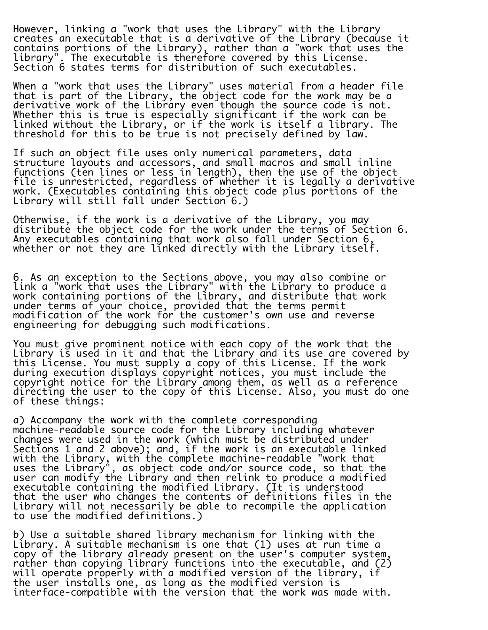However, linking a "work that uses the Library" with the Library creates an executable that is a derivative of the Library (because it contains portions of the Library), rather than a "work that uses the library". The executable is therefore covered by this License. Section 6 states terms for distribution of such executables.

When a "work that uses the Library" uses material from a header file that is part of the Library, the object code for the work may be a derivative work of the Library even though the source code is not. Whether this is true is especially significant if the work can be linked without the Library, or if the work is itself a library. The threshold for this to be true is not precisely defined by law.

If such an object file uses only numerical parameters, data structure layouts and accessors, and small macros and small inline functions (ten lines or less in length), then the use of the object file is unrestricted, regardless of whether it is legally a derivative work. (Executables containing this object code plus portions of the Library will still fall under Section 6.)

Otherwise, if the work is a derivative of the Library, you may distribute the object code for the work under the terms of Section 6. Any executables containing that work also fall under Section 6, whether or not they are linked directly with the Library itself.

6. As an exception to the Sections above, you may also combine or link a "work that uses the Library" with the Library to produce a work containing portions of the Library, and distribute that work under terms of your choice, provided that the terms permit modification of the work for the customer's own use and reverse engineering for debugging such modifications.

You must give prominent notice with each copy of the work that the Library is used in it and that the Library and its use are covered by this License. You must supply a copy of this License. If the work during execution displays copyright notices, you must include the copyright notice for the Library among them, as well as a reference directing the user to the copy of this License. Also, you must do one of these things:

a) Accompany the work with the complete corresponding machine-readable source code for the Library including whatever changes were used in the work (which must be distributed under Sections 1 and 2 above); and, if the work is an executable linked with the Library, with the complete machine-readable "work that uses the Library", as object code and/or source code, so that the user can modify the Library and then relink to produce a modified executable containing the modified Library. (It is understood that the user who changes the contents of definitions files in the Library will not necessarily be able to recompile the application to use the modified definitions.)

b) Use a suitable shared library mechanism for linking with the Library. A suitable mechanism is one that (1) uses at run time a copy of the library already present on the user's computer system, rather than copying library functions into the executable, and (2) will operate properly with a modified version of the library, if the user installs one, as long as the modified version is interface-compatible with the version that the work was made with.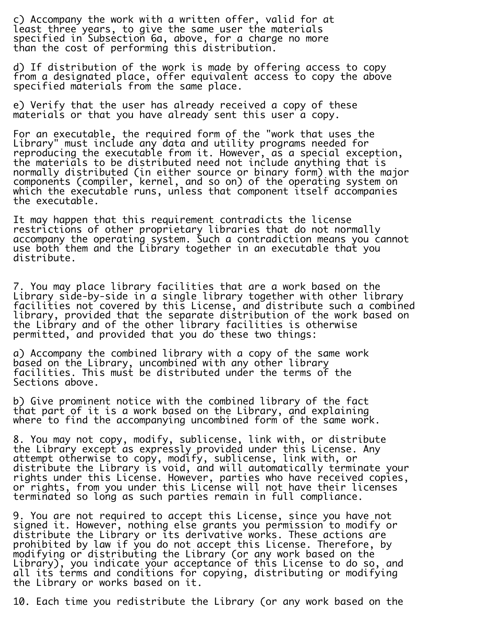c) Accompany the work with a written offer, valid for at least three years, to give the same user the materials specified in Subsection 6a, above, for a charge no more than the cost of performing this distribution.

d) If distribution of the work is made by offering access to copy from a designated place, offer equivalent access to copy the above specified materials from the same place.

e) Verify that the user has already received a copy of these materials or that you have already sent this user a copy.

For an executable, the required form of the "work that uses the Library" must include any data and utility programs needed for reproducing the executable from it. However, as a special exception, the materials to be distributed need not include anything that is normally distributed (in either source or binary form) with the major components (compiler, kernel, and so on) of the operating system on which the executable runs, unless that component itself accompanies the executable.

It may happen that this requirement contradicts the license restrictions of other proprietary libraries that do not normally accompany the operating system. Such a contradiction means you cannot use both them and the Library together in an executable that you distribute.

7. You may place library facilities that are a work based on the Library side-by-side in a single library together with other library facilities not covered by this License, and distribute such a combined library, provided that the separate distribution of the work based on the Library and of the other library facilities is otherwise permitted, and provided that you do these two things:

i. a) Accompany the combined library with a copy of the same work based on the Library, uncombined with any other library facilities. This must be distributed under the terms of the Sections above.

b) Give prominent notice with the combined library of the fact that part of it is a work based on the Library, and explaining where to find the accompanying uncombined form of the same work.

8. You may not copy, modify, sublicense, link with, or distribute the Library except as expressly provided under this License. Any attempt otherwise to copy, modify, sublicense, link with, or distribute the Library is void, and will automatically terminate your rights under this License. However, parties who have received copies, or rights, from you under this License will not have their licenses terminated so long as such parties remain in full compliance.

9. You are not required to accept this License, since you have not signed it. However, nothing else grants you permission to modify or distribute the Library or its derivative works. These actions are prohibited by law if you do not accept this License. Therefore, by modifying or distributing the Library (or any work based on the Library), you indicate your acceptance of this License to do so, and all its terms and conditions for copying, distributing or modifying the Library or works based on it.

10. Each time you redistribute the Library (or any work based on the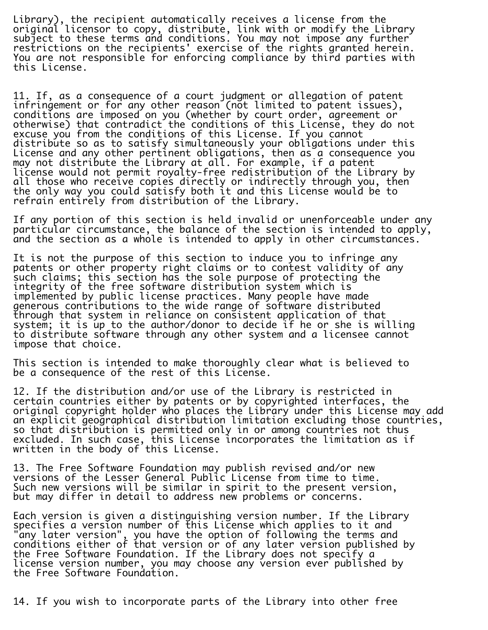Library), the recipient automatically receives a license from the original licensor to copy, distribute, link with or modify the Library subject to these terms and conditions. You may not impose any further restrictions on the recipients' exercise of the rights granted herein. You are not responsible for enforcing compliance by third parties with this License.

11. If, as a consequence of a court judgment or allegation of patent infringement or for any other reason (not limited to patent issues), conditions are imposed on you (whether by court order, agreement or otherwise) that contradict the conditions of this License, they do not excuse you from the conditions of this License. If you cannot distribute so as to satisfy simultaneously your obligations under this License and any other pertinent obligations, then as a consequence you may not distribute the Library at all. For example, if a patent license would not permit royalty-free redistribution of the Library by all those who receive copies directly or indirectly through you, then the only way you could satisfy both it and this License would be to refrain entirely from distribution of the Library.

If any portion of this section is held invalid or unenforceable under any particular circumstance, the balance of the section is intended to apply, and the section as a whole is intended to apply in other circumstances.

It is not the purpose of this section to induce you to infringe any patents or other property right claims or to contest validity of any such claims; this section has the sole purpose of protecting the integrity of the free software distribution system which is implemented by public license practices. Many people have made generous contributions to the wide range of software distributed through that system in reliance on consistent application of that system; it is up to the author/donor to decide if he or she is willing to distribute software through any other system and a licensee cannot impose that choice.

This section is intended to make thoroughly clear what is believed to be a consequence of the rest of this License.

12. If the distribution and/or use of the Library is restricted in certain countries either by patents or by copyrighted interfaces, the original copyright holder who places the Library under this License may add an explicit geographical distribution limitation excluding those countries, so that distribution is permitted only in or among countries not thus excluded. In such case, this License incorporates the limitation as if written in the body of this License.

13. The Free Software Foundation may publish revised and/or new versions of the Lesser General Public License from time to time. Such new versions will be similar in spirit to the present version, but may differ in detail to address new problems or concerns.

Each version is given a distinguishing version number. If the Library specifies a version number of this License which applies to it and "any later version", you have the option of following the terms and conditions either of that version or of any later version published by the Free Software Foundation. If the Library does not specify a license version number, you may choose any version ever published by the Free Software Foundation.

14. If you wish to incorporate parts of the Library into other free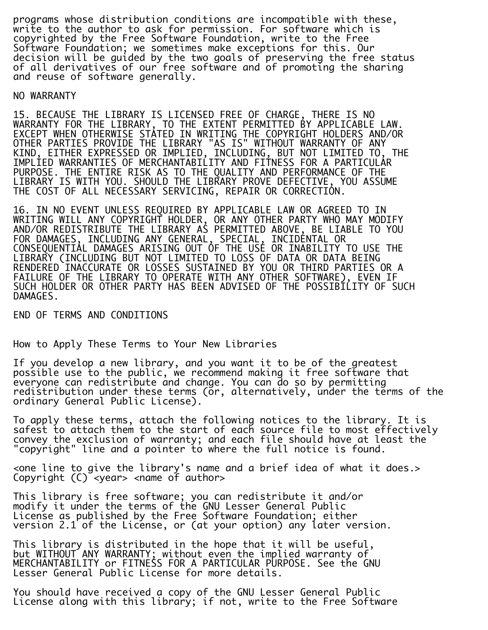programs whose distribution conditions are incompatible with these, write to the author to ask for permission. For software which is copyrighted by the Free Software Foundation, write to the Free Software Foundation; we sometimes make exceptions for this. Our decision will be guided by the two goals of preserving the free status of all derivatives of our free software and of promoting the sharing and reuse of software generally.

## NO WARRANTY

15. BECAUSE THE LIBRARY IS LICENSED FREE OF CHARGE, THERE IS NO WARRANTY FOR THE LIBRARY, TO THE EXTENT PERMITTED BY APPLICABLE LAW. EXCEPT WHEN OTHERWISE STATED IN WRITING THE COPYRIGHT HOLDERS AND/OR OTHER PARTIES PROVIDE THE LIBRARY "AS IS" WITHOUT WARRANTY OF ANY KIND, EITHER EXPRESSED OR IMPLIED, INCLUDING, BUT NOT LIMITED TO, THE IMPLIED WARRANTIES OF MERCHANTABILITY AND FITNESS FOR A PARTICULAR PURPOSE. THE ENTIRE RISK AS TO THE QUALITY AND PERFORMANCE OF THE LIBRARY IS WITH YOU. SHOULD THE LIBRARY PROVE DEFECTIVE, YOU ASSUME THE COST OF ALL NECESSARY SERVICING, REPAIR OR CORRECTION.

16. IN NO EVENT UNLESS REQUIRED BY APPLICABLE LAW OR AGREED TO IN WRITING WILL ANY COPYRIGHT HOLDER, OR ANY OTHER PARTY WHO MAY MODIFY AND/OR REDISTRIBUTE THE LIBRARY AS PERMITTED ABOVE, BE LIABLE TO YOU FOR DAMAGES, INCLUDING ANY GENERAL, SPECIAL, INCIDENTAL OR CONSEQUENTIAL DAMAGES ARISING OUT OF THE USE OR INABILITY TO USE THE LIBRARY (INCLUDING BUT NOT LIMITED TO LOSS OF DATA OR DATA BEING RENDERED INACCURATE OR LOSSES SUSTAINED BY YOU OR THIRD PARTIES OR A FAILURE OF THE LIBRARY TO OPERATE WITH ANY OTHER SOFTWARE), EVEN IF SUCH HOLDER OR OTHER PARTY HAS BEEN ADVISED OF THE POSSIBILITY OF SUCH DAMAGES.

END OF TERMS AND CONDITIONS

How to Apply These Terms to Your New Libraries

If you develop a new library, and you want it to be of the greatest possible use to the public, we recommend making it free software that everyone can redistribute and change. You can do so by permitting redistribution under these terms (or, alternatively, under the terms of the ordinary General Public License).

To apply these terms, attach the following notices to the library. It is safest to attach them to the start of each source file to most effectively convey the exclusion of warranty; and each file should have at least the "copyright" line and a pointer to where the full notice is found.

<one line to give the library's name and a brief idea of what it does.> Copyright (C) <year> <name of author>

This library is free software; you can redistribute it and/or modify it under the terms of the GNU Lesser General Public License as published by the Free Software Foundation; either version 2.1 of the License, or (at your option) any later version.

This library is distributed in the hope that it will be useful, but WITHOUT ANY WARRANTY; without even the implied warranty of MERCHANTABILITY or FITNESS FOR A PARTICULAR PURPOSE. See the GNU Lesser General Public License for more details.

You should have received a copy of the GNU Lesser General Public License along with this library; if not, write to the Free Software